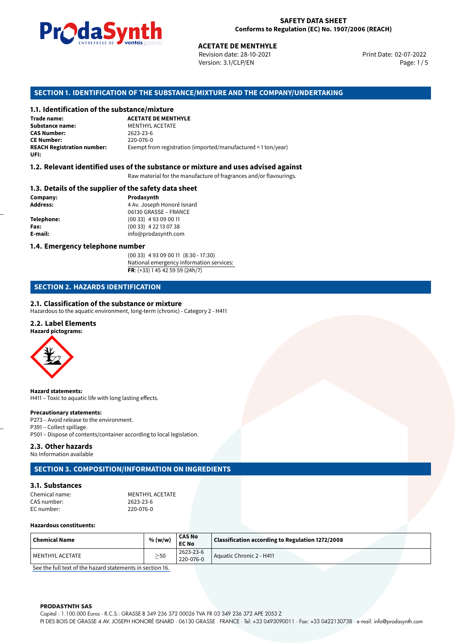

Revision date: 28-10-2021 Version: 3.1/CLP/EN Page: 1 / 5

Print Date: 02-07-2022

## **SECTION 1. IDENTIFICATION OF THE SUBSTANCE/MIXTURE AND THE COMPANY/UNDERTAKING**

#### **1.1. Identification of the substance/mixture**

**ACETATE DE MENTHYLE<br>
Revision date: 28-10-2021<br>
Version: 3.1/CLP/EN<br>
<b>OF THE SUBSTANCE/MIXTURE AND THE COME<br>
tance/mixture<br>
ACETATE DE MENTHYLE Trade name: Substance name:** MENTHYL ACETATE<br> **CAS Number:** 2623-23-6 **CAS Number:** 2623-23-6 **CE Number:** 220-076-0<br>**REACH Registration number:** Exempt from Exempt from registration (imported/manufactured < 1 ton/year) **UFI:**

#### **1.2. Relevant identified uses of the substance or mixture and uses advised against**

Raw material for the manufacture of fragrances and/or flavourings.

#### **1.3. Details of the supplier of the safety data sheet**

**Company: Prodasynth Prodasynth Address:** 4 Av. Joseph **Address:** 4 Av. Joseph Honoré Isnard 06130 GRASSE – FRANCE **Telephone:** (00 33) 4 93 09 00 11 **Fax:** (00 33) 4 22 13 07 38 **E-mail:** info@prodasynth.com

#### **1.4. Emergency telephone number**

(00 33) 4 93 09 00 11 (8:30 - 17:30) National emergency information services: **FR**: (+33) 1 45 42 59 59 (24h/7)

# **SECTION 2. HAZARDS IDENTIFICATION**

#### **2.1. Classification of the substance or mixture**

Hazardous to the aquatic environment, long-term (chronic) - Category 2 - H411

### **2.2. Label Elements**

**Hazard pictograms:**



**Hazard statements:** H411 – Toxic to aquatic life with long lasting effects.

#### **Precautionary statements:**

P273 – Avoid release to the environment. P391 – Collect spillage. P501 – Dispose of contents/container according to local legislation.

# **2.3. Other hazards**

No Information available

# **SECTION 3. COMPOSITION/INFORMATION ON INGREDIENTS**

#### **3.1. Substances**

Chemical name: MENTHYL ACETATE<br>CAS number: 2623-23-6 CAS number: EC number: 220-076-0

#### **Hazardous constituents:**

| $\mid$ Chemical Name | % (w/w)     | <b>CAS No</b><br><b>EC No</b> | Classification according to Regulation 1272/2008 |
|----------------------|-------------|-------------------------------|--------------------------------------------------|
| l MENTHYL ACETATE    | $>$ 50<br>_ | 2623-23-6<br>220-076-0        | Aquatic Chronic 2 - H411                         |

[See the full text of the hazard statements in section 16.](#page--1-0)

#### **PRODASYNTH SAS**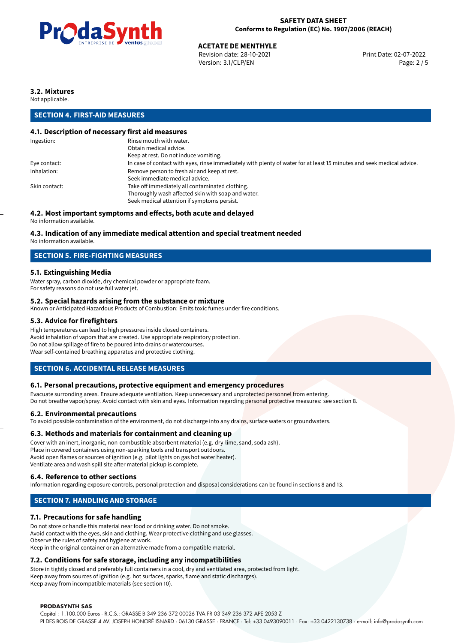

# **ACETATE DE MENTHYLE**<br>
Revision date: 28-10-2021<br> **Print Date: 02-07-2022**

Revision date: 28-10-2021 Version: 3.1/CLP/EN Page: 2 / 5

# **3.2. Mixtures**

Not applicable.

# **SECTION 4. FIRST-AID MEASURES**

# **4.1. Description of necessary first aid measures**

| In case of contact with eyes, rinse immediately with plenty of water for at least 15 minutes and seek medical advice. |
|-----------------------------------------------------------------------------------------------------------------------|
|                                                                                                                       |
|                                                                                                                       |
|                                                                                                                       |
|                                                                                                                       |
|                                                                                                                       |
|                                                                                                                       |

# **4.2. Most important symptoms and effects, both acute and delayed**

No information available.

# **4.3. Indication of any immediate medical attention and special treatment needed**

No information available.

# **SECTION 5. FIRE-FIGHTING MEASURES**

# **5.1. Extinguishing Media**

Water spray, carbon dioxide, dry chemical powder or appropriate foam. For safety reasons do not use full water jet.

#### **5.2. Special hazards arising from the substance or mixture**

Known or Anticipated Hazardous Products of Combustion: Emits toxic fumes under fire conditions.

### **5.3. Advice for firefighters**

High temperatures can lead to high pressures inside closed containers. Avoid inhalation of vapors that are created. Use appropriate respiratory protection. Do not allow spillage of fire to be poured into drains or watercourses. Wear self-contained breathing apparatus and protective clothing.

# **SECTION 6. ACCIDENTAL RELEASE MEASURES**

#### **6.1. Personal precautions, protective equipment and emergency procedures**

Evacuate surronding areas. Ensure adequate ventilation. Keep unnecessary and unprotected personnel from entering. Do not breathe vapor/spray. Avoid contact with skin and eyes. Information regarding personal protective measures: see section 8.

#### **6.2. Environmental precautions**

To avoid possible contamination of the environment, do not discharge into any drains, surface waters or groundwaters.

#### **6.3. Methods and materials for containment and cleaning up**

Cover with an inert, inorganic, non-combustible absorbent material (e.g. dry-lime, sand, soda ash). Place in covered containers using non-sparking tools and transport outdoors. Avoid open flames or sources of ignition (e.g. pilot lights on gas hot water heater). Ventilate area and wash spill site after material pickup is complete.

#### **6.4. Reference to other sections**

Information regarding exposure controls, personal protection and disposal considerations can be found in sections 8 and 13.

# **SECTION 7. HANDLING AND STORAGE**

# **7.1. Precautions for safe handling**

Do not store or handle this material near food or drinking water. Do not smoke. Avoid contact with the eyes, skin and clothing. Wear protective clothing and use glasses. Observe the rules of safety and hygiene at work. Keep in the original container or an alternative made from a compatible material.

# **7.2. Conditions for safe storage, including any incompatibilities**

Store in tightly closed and preferably full containers in a cool, dry and ventilated area, protected from light. Keep away from sources of ignition (e.g. hot surfaces, sparks, flame and static discharges). Keep away from incompatible materials (see section 10).

#### **PRODASYNTH SAS**

Capital : 1.100.000 Euros · R.C.S.: GRASSE B 349 236 372 00026 TVA FR 03 349 236 372 APE 2053 Z PI DES BOIS DE GRASSE 4 AV. JOSEPH HONORÉ ISNARD · 06130 GRASSE · FRANCE · Tel: +33 0493090011 · Fax: +33 0422130738 · e-mail: info@prodasynth.com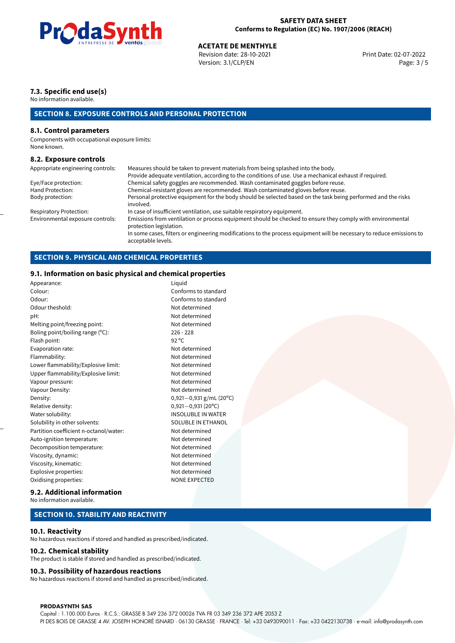

# **ACETATE DE MENTHYLE**<br>
Revision date: 28-10-2021<br> **Print Date: 02-07-2022**

Revision date: 28-10-2021 Version: 3.1/CLP/EN Page: 3 / 5

# **7.3. Specific end use(s)**

No information available.

# **SECTION 8. EXPOSURE CONTROLS AND PERSONAL PROTECTION**

#### **8.1. Control parameters**

Components with occupational exposure limits: None known.

#### **8.2. Exposure controls**

Appropriate engineering controls: Measures should be taken to prevent materials from being splashed into the body. Provide adequate ventilation, according to the conditions of use. Use a mechanical exhaust if required. Eye/Face protection: Chemical safety goggles are recommended. Wash contaminated goggles before reuse. Hand Protection: Chemical-resistant gloves are recommended. Wash contaminated gloves before reuse. Personal protective equipment for the body should be selected based on the task being performed and the risks involved. Respiratory Protection: In case of insufficient ventilation, use suitable respiratory equipment.<br>Environmental exposure controls: Emissions from ventilation or process equipment should be checked t Emissions from ventilation or process equipment should be checked to ensure they comply with environmental protection legislation. In some cases, filters or engineering modifications to the process equipment will be necessary to reduce emissions to acceptable levels.

# **SECTION 9. PHYSICAL AND CHEMICAL PROPERTIES**

# **9.1. Information on basic physical and chemical properties**

| Appearance:                            | Liquid                    |
|----------------------------------------|---------------------------|
| Colour:                                | Conforms to standard      |
| Odour:                                 | Conforms to standard      |
| Odour theshold:                        | Not determined            |
| pH:                                    | Not determined            |
| Melting point/freezing point:          | Not determined            |
| Boling point/boiling range (°C):       | $226 - 228$               |
| Flash point:                           | $92^{\circ}$ C            |
| Evaporation rate:                      | Not determined            |
| Flammability:                          | Not determined            |
| Lower flammability/Explosive limit:    | Not determined            |
| Upper flammability/Explosive limit:    | Not determined            |
| Vapour pressure:                       | Not determined            |
| Vapour Density:                        | Not determined            |
| Density:                               | $0,921-0,931$ g/mL (20°C) |
| Relative density:                      | $0,921 - 0,931(20°C)$     |
| Water solubility:                      | <b>INSOLUBLE IN WATER</b> |
| Solubility in other solvents:          | SOLUBLE IN ETHANOL        |
| Partition coefficient n-octanol/water: | Not determined            |
| Auto-ignition temperature:             | Not determined            |
| Decomposition temperature:             | Not determined            |
| Viscosity, dynamic:                    | Not determined            |
| Viscosity, kinematic:                  | Not determined            |
| Explosive properties:                  | Not determined            |
| Oxidising properties:                  | <b>NONE EXPECTED</b>      |
|                                        |                           |

#### **9.2. Additional information**

No information available.

#### **SECTION 10. STABILITY AND REACTIVITY**

#### **10.1. Reactivity**

No hazardous reactions if stored and handled as prescribed/indicated.

#### **10.2. Chemical stability**

The product is stable if stored and handled as prescribed/indicated.

#### **10.3. Possibility of hazardous reactions**

No hazardous reactions if stored and handled as prescribed/indicated.

#### **PRODASYNTH SAS**

Capital : 1.100.000 Euros · R.C.S.: GRASSE B 349 236 372 00026 TVA FR 03 349 236 372 APE 2053 Z PI DES BOIS DE GRASSE 4 AV. JOSEPH HONORÉ ISNARD · 06130 GRASSE · FRANCE · Tel: +33 0493090011 · Fax: +33 0422130738 · e-mail: info@prodasynth.com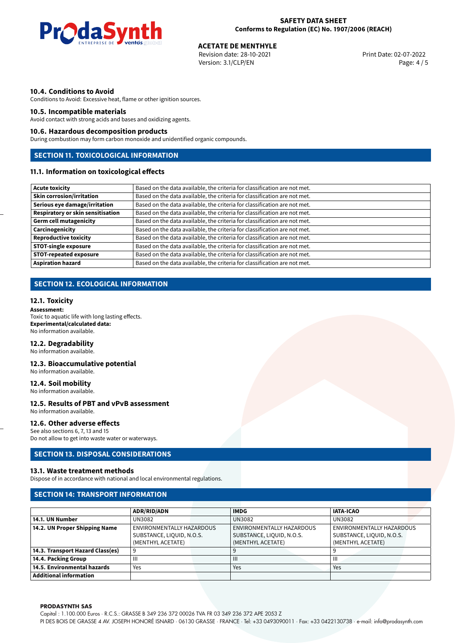

# **ACETATE DE MENTHYLE**<br>
Revision date: 28-10-2021<br> **Print Date: 02-07-2022**

Revision date: 28-10-2021 Version: 3.1/CLP/EN Page: 4 / 5

#### **10.4. Conditions to Avoid**

Conditions to Avoid: Excessive heat, flame or other ignition sources.

#### **10.5. Incompatible materials**

Avoid contact with strong acids and bases and oxidizing agents.

#### **10.6. Hazardous decomposition products**

During combustion may form carbon monoxide and unidentified organic compounds.

# **SECTION 11. TOXICOLOGICAL INFORMATION**

# **11.1. Information on toxicological effects**

| Acute toxicity                    | Based on the data available, the criteria for classification are not met. |  |  |  |  |
|-----------------------------------|---------------------------------------------------------------------------|--|--|--|--|
| <b>Skin corrosion/irritation</b>  | Based on the data available, the criteria for classification are not met. |  |  |  |  |
| Serious eye damage/irritation     | Based on the data available, the criteria for classification are not met. |  |  |  |  |
| Respiratory or skin sensitisation | Based on the data available, the criteria for classification are not met. |  |  |  |  |
| Germ cell mutagenicity            | Based on the data available, the criteria for classification are not met. |  |  |  |  |
| <b>Carcinogenicity</b>            | Based on the data available, the criteria for classification are not met. |  |  |  |  |
| Reproductive toxicity             | Based on the data available, the criteria for classification are not met. |  |  |  |  |
| STOT-single exposure              | Based on the data available, the criteria for classification are not met. |  |  |  |  |
| <b>STOT-repeated exposure</b>     | Based on the data available, the criteria for classification are not met. |  |  |  |  |
| <b>Aspiration hazard</b>          | Based on the data available, the criteria for classification are not met. |  |  |  |  |

# **SECTION 12. ECOLOGICAL INFORMATION**

#### **12.1. Toxicity**

**Assessment:** Toxic to aquatic life with long lasting effects. **Experimental/calculated data:** No information available.

#### **12.2. Degradability**

No information available.

#### **12.3. Bioaccumulative potential**

No information available.

#### **12.4. Soil mobility**

No information available.

#### **12.5. Results of PBT and vPvB assessment** No information available.

#### **12.6. Other adverse effects**

See also sections 6, 7, 13 and 15 Do not allow to get into waste water or waterways.

### **SECTION 13. DISPOSAL CONSIDERATIONS**

#### **13.1. Waste treatment methods**

Dispose of in accordance with national and local environmental regulations.

#### **SECTION 14: TRANSPORT INFORMATION**

|                                  | <b>ADR/RID/ADN</b>        | <b>IMDG</b>               | <b>IATA-ICAO</b>          |  |
|----------------------------------|---------------------------|---------------------------|---------------------------|--|
| 14.1. UN Number                  | UN3082                    | <b>UN3082</b>             | UN3082                    |  |
| 14.2. UN Proper Shipping Name    | ENVIRONMENTALLY HAZARDOUS | ENVIRONMENTALLY HAZARDOUS | ENVIRONMENTALLY HAZARDOUS |  |
|                                  | SUBSTANCE, LIQUID, N.O.S. | SUBSTANCE, LIQUID, N.O.S. | SUBSTANCE, LIQUID, N.O.S. |  |
|                                  | (MENTHYL ACETATE)         | (MENTHYL ACETATE)         | (MENTHYL ACETATE)         |  |
| 14.3. Transport Hazard Class(es) |                           |                           |                           |  |
| 14.4. Packing Group              | Ш                         | Ш                         | Ш                         |  |
| 14.5. Environmental hazards      | Yes                       | Yes                       | Yes                       |  |
| <b>Additional information</b>    |                           |                           |                           |  |

#### **PRODASYNTH SAS**

Capital : 1.100.000 Euros · R.C.S.: GRASSE B 349 236 372 00026 TVA FR 03 349 236 372 APE 2053 Z PI DES BOIS DE GRASSE 4 AV. JOSEPH HONORÉ ISNARD · 06130 GRASSE · FRANCE · Tel: +33 0493090011 · Fax: +33 0422130738 · e-mail: info@prodasynth.com